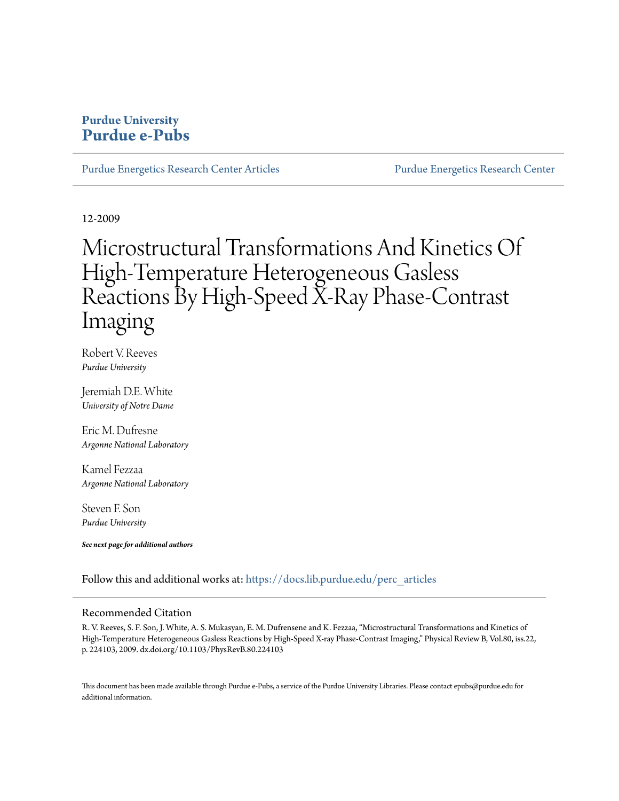## **Purdue University [Purdue e-Pubs](https://docs.lib.purdue.edu?utm_source=docs.lib.purdue.edu%2Fperc_articles%2F14&utm_medium=PDF&utm_campaign=PDFCoverPages)**

[Purdue Energetics Research Center Articles](https://docs.lib.purdue.edu/perc_articles?utm_source=docs.lib.purdue.edu%2Fperc_articles%2F14&utm_medium=PDF&utm_campaign=PDFCoverPages) [Purdue Energetics Research Center](https://docs.lib.purdue.edu/perc?utm_source=docs.lib.purdue.edu%2Fperc_articles%2F14&utm_medium=PDF&utm_campaign=PDFCoverPages)

12-2009

# Microstructural Transformations And Kinetics Of High-Temperature Heterogeneous Gasless Reactions By High-Speed X-Ray Phase-Contrast Imaging

Robert V. Reeves *Purdue University*

Jeremiah D.E. White *University of Notre Dame*

Eric M. Dufresne *Argonne National Laboratory*

Kamel Fezzaa *Argonne National Laboratory*

Steven F. Son *Purdue University*

*See next page for additional authors*

Follow this and additional works at: [https://docs.lib.purdue.edu/perc\\_articles](https://docs.lib.purdue.edu/perc_articles?utm_source=docs.lib.purdue.edu%2Fperc_articles%2F14&utm_medium=PDF&utm_campaign=PDFCoverPages)

#### Recommended Citation

R. V. Reeves, S. F. Son, J. White, A. S. Mukasyan, E. M. Dufrensene and K. Fezzaa, "Microstructural Transformations and Kinetics of High-Temperature Heterogeneous Gasless Reactions by High-Speed X-ray Phase-Contrast Imaging," Physical Review B, Vol.80, iss.22, p. 224103, 2009. dx.doi.org/10.1103/PhysRevB.80.224103

This document has been made available through Purdue e-Pubs, a service of the Purdue University Libraries. Please contact epubs@purdue.edu for additional information.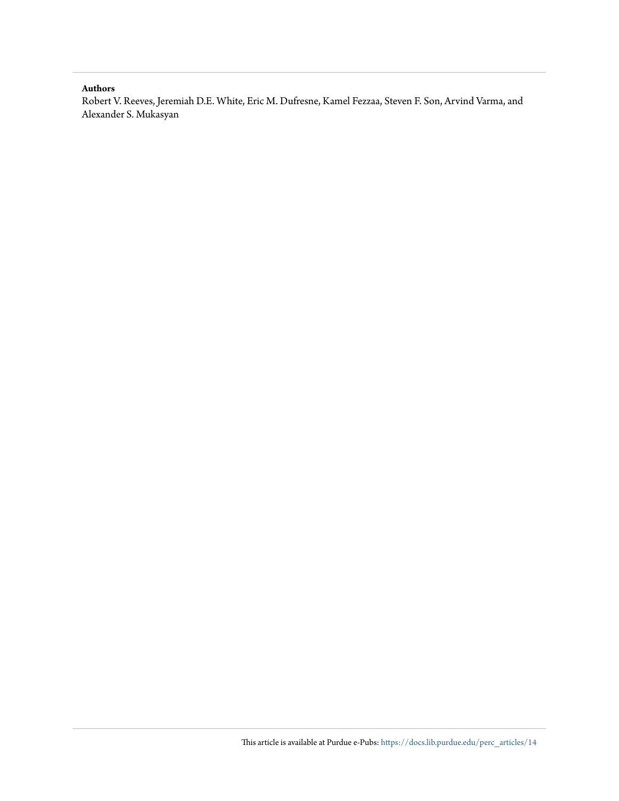#### **Authors**

Robert V. Reeves, Jeremiah D.E. White, Eric M. Dufresne, Kamel Fezzaa, Steven F. Son, Arvind Varma, and Alexander S. Mukasyan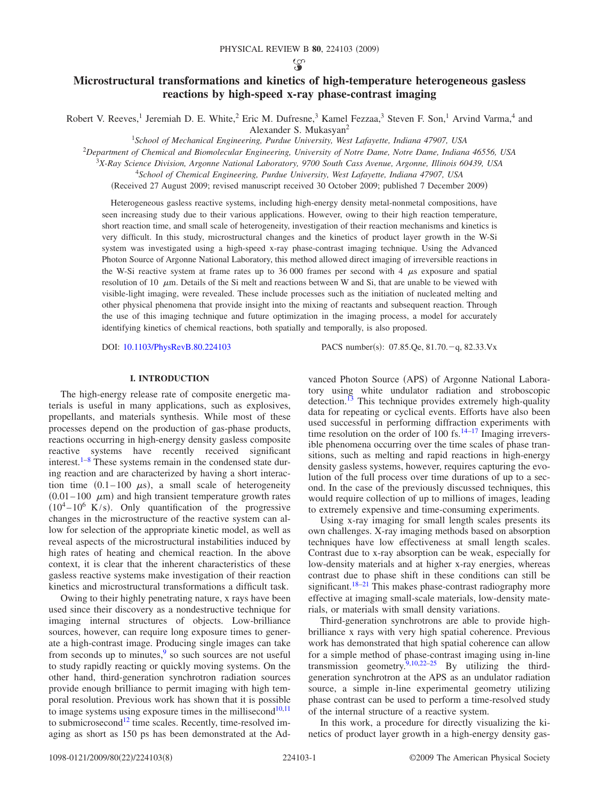ပ္သာ

### **Microstructural transformations and kinetics of high-temperature heterogeneous gasless reactions by high-speed x-ray phase-contrast imaging**

Robert V. Reeves,<sup>1</sup> Jeremiah D. E. White,<sup>2</sup> Eric M. Dufresne,<sup>3</sup> Kamel Fezzaa,<sup>3</sup> Steven F. Son,<sup>1</sup> Arvind Varma,<sup>4</sup> and Alexander S. Mukasyan2

1 *School of Mechanical Engineering, Purdue University, West Lafayette, Indiana 47907, USA*

2 *Department of Chemical and Biomolecular Engineering, University of Notre Dame, Notre Dame, Indiana 46556, USA*

3 *X-Ray Science Division, Argonne National Laboratory, 9700 South Cass Avenue, Argonne, Illinois 60439, USA*

<sup>4</sup>*School of Chemical Engineering, Purdue University, West Lafayette, Indiana 47907, USA*

Received 27 August 2009; revised manuscript received 30 October 2009; published 7 December 2009-

Heterogeneous gasless reactive systems, including high-energy density metal-nonmetal compositions, have seen increasing study due to their various applications. However, owing to their high reaction temperature, short reaction time, and small scale of heterogeneity, investigation of their reaction mechanisms and kinetics is very difficult. In this study, microstructural changes and the kinetics of product layer growth in the W-Si system was investigated using a high-speed x-ray phase-contrast imaging technique. Using the Advanced Photon Source of Argonne National Laboratory, this method allowed direct imaging of irreversible reactions in the W-Si reactive system at frame rates up to 36 000 frames per second with 4  $\mu$ s exposure and spatial resolution of 10  $\mu$ m. Details of the Si melt and reactions between W and Si, that are unable to be viewed with visible-light imaging, were revealed. These include processes such as the initiation of nucleated melting and other physical phenomena that provide insight into the mixing of reactants and subsequent reaction. Through the use of this imaging technique and future optimization in the imaging process, a model for accurately identifying kinetics of chemical reactions, both spatially and temporally, is also proposed.

DOI: [10.1103/PhysRevB.80.224103](http://dx.doi.org/10.1103/PhysRevB.80.224103)

: 07.85.Qe, 81.70. $-q$ , 82.33.Vx

#### **I. INTRODUCTION**

The high-energy release rate of composite energetic materials is useful in many applications, such as explosives, propellants, and materials synthesis. While most of these processes depend on the production of gas-phase products, reactions occurring in high-energy density gasless composite reactive systems have recently received significant interest.<sup>1–[8](#page-8-1)</sup> These systems remain in the condensed state during reaction and are characterized by having a short interaction time  $(0.1-100 \mu s)$ , a small scale of heterogeneity  $(0.01-100 \mu m)$  and high transient temperature growth rates  $(10^4 - 10^6 \text{ K/s})$ . Only quantification of the progressive changes in the microstructure of the reactive system can allow for selection of the appropriate kinetic model, as well as reveal aspects of the microstructural instabilities induced by high rates of heating and chemical reaction. In the above context, it is clear that the inherent characteristics of these gasless reactive systems make investigation of their reaction kinetics and microstructural transformations a difficult task.

Owing to their highly penetrating nature, x rays have been used since their discovery as a nondestructive technique for imaging internal structures of objects. Low-brilliance sources, however, can require long exposure times to generate a high-contrast image. Producing single images can take from seconds up to minutes, $9$  so such sources are not useful to study rapidly reacting or quickly moving systems. On the other hand, third-generation synchrotron radiation sources provide enough brilliance to permit imaging with high temporal resolution. Previous work has shown that it is possible to image systems using exposure times in the millisecond $10,11$  $10,11$ to submicrosecond<sup>12</sup> time scales. Recently, time-resolved imaging as short as 150 ps has been demonstrated at the Ad-

vanced Photon Source (APS) of Argonne National Laboratory using white undulator radiation and stroboscopic detection.<sup>13</sup> This technique provides extremely high-quality data for repeating or cyclical events. Efforts have also been used successful in performing diffraction experiments with time resolution on the order of  $100 \text{ fs.}^{14-17}$  Imaging irreversible phenomena occurring over the time scales of phase transitions, such as melting and rapid reactions in high-energy density gasless systems, however, requires capturing the evolution of the full process over time durations of up to a second. In the case of the previously discussed techniques, this would require collection of up to millions of images, leading to extremely expensive and time-consuming experiments.

Using x-ray imaging for small length scales presents its own challenges. X-ray imaging methods based on absorption techniques have low effectiveness at small length scales. Contrast due to x-ray absorption can be weak, especially for low-density materials and at higher x-ray energies, whereas contrast due to phase shift in these conditions can still be significant.<sup>18[–21](#page-8-10)</sup> This makes phase-contrast radiography more effective at imaging small-scale materials, low-density materials, or materials with small density variations.

Third-generation synchrotrons are able to provide highbrilliance x rays with very high spatial coherence. Previous work has demonstrated that high spatial coherence can allow for a simple method of phase-contrast imaging using in-line transmission geometry.<sup>9[,10,](#page-8-3)[22](#page-8-11)-25</sup> By utilizing the thirdgeneration synchrotron at the APS as an undulator radiation source, a simple in-line experimental geometry utilizing phase contrast can be used to perform a time-resolved study of the internal structure of a reactive system.

In this work, a procedure for directly visualizing the kinetics of product layer growth in a high-energy density gas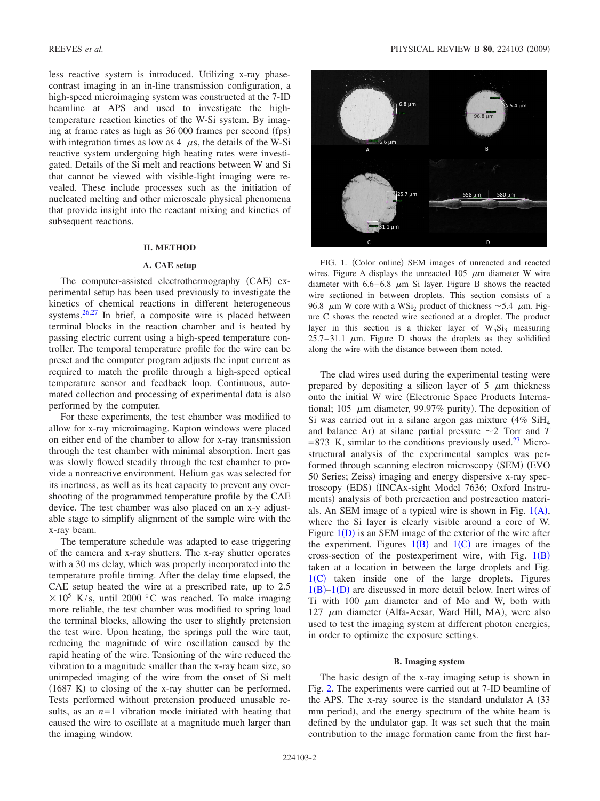less reactive system is introduced. Utilizing x-ray phasecontrast imaging in an in-line transmission configuration, a high-speed microimaging system was constructed at the 7-ID beamline at APS and used to investigate the hightemperature reaction kinetics of the W-Si system. By imaging at frame rates as high as 36 000 frames per second (fps) with integration times as low as  $4 \mu s$ , the details of the W-Si reactive system undergoing high heating rates were investigated. Details of the Si melt and reactions between W and Si that cannot be viewed with visible-light imaging were revealed. These include processes such as the initiation of nucleated melting and other microscale physical phenomena that provide insight into the reactant mixing and kinetics of subsequent reactions.

#### **II. METHOD**

#### **A. CAE setup**

The computer-assisted electrothermography (CAE) experimental setup has been used previously to investigate the kinetics of chemical reactions in different heterogeneous systems[.26,](#page-9-0)[27](#page-9-1) In brief, a composite wire is placed between terminal blocks in the reaction chamber and is heated by passing electric current using a high-speed temperature controller. The temporal temperature profile for the wire can be preset and the computer program adjusts the input current as required to match the profile through a high-speed optical temperature sensor and feedback loop. Continuous, automated collection and processing of experimental data is also performed by the computer.

For these experiments, the test chamber was modified to allow for x-ray microimaging. Kapton windows were placed on either end of the chamber to allow for x-ray transmission through the test chamber with minimal absorption. Inert gas was slowly flowed steadily through the test chamber to provide a nonreactive environment. Helium gas was selected for its inertness, as well as its heat capacity to prevent any overshooting of the programmed temperature profile by the CAE device. The test chamber was also placed on an x-y adjustable stage to simplify alignment of the sample wire with the x-ray beam.

The temperature schedule was adapted to ease triggering of the camera and x-ray shutters. The x-ray shutter operates with a 30 ms delay, which was properly incorporated into the temperature profile timing. After the delay time elapsed, the CAE setup heated the wire at a prescribed rate, up to 2.5  $\times 10^5$  K/s, until 2000 °C was reached. To make imaging more reliable, the test chamber was modified to spring load the terminal blocks, allowing the user to slightly pretension the test wire. Upon heating, the springs pull the wire taut, reducing the magnitude of wire oscillation caused by the rapid heating of the wire. Tensioning of the wire reduced the vibration to a magnitude smaller than the x-ray beam size, so unimpeded imaging of the wire from the onset of Si melt  $(1687 \text{ K})$  to closing of the x-ray shutter can be performed. Tests performed without pretension produced unusable results, as an  $n=1$  vibration mode initiated with heating that caused the wire to oscillate at a magnitude much larger than the imaging window.

<span id="page-3-0"></span>

FIG. 1. (Color online) SEM images of unreacted and reacted wires. Figure A displays the unreacted 105  $\mu$ m diameter W wire diameter with  $6.6-6.8$   $\mu$ m Si layer. Figure B shows the reacted wire sectioned in between droplets. This section consists of a 96.8  $\mu$ m W core with a WSi<sub>2</sub> product of thickness ~5.4  $\mu$ m. Figure C shows the reacted wire sectioned at a droplet. The product layer in this section is a thicker layer of  $W_5Si_3$  measuring  $25.7-31.1$   $\mu$ m. Figure D shows the droplets as they solidified along the wire with the distance between them noted.

The clad wires used during the experimental testing were prepared by depositing a silicon layer of 5  $\mu$ m thickness onto the initial W wire Electronic Space Products International; 105  $\mu$ m diameter, 99.97% purity). The deposition of Si was carried out in a silane argon gas mixture  $(4\% SiH<sub>4</sub>)$ and balance Ar) at silane partial pressure  $\sim$ 2 Torr and *T*  $= 873$  K, similar to the conditions previously used.<sup>27</sup> Microstructural analysis of the experimental samples was performed through scanning electron microscopy (SEM) (EVO 50 Series; Zeiss) imaging and energy dispersive x-ray spectroscopy (EDS) (INCAx-sight Model 7636; Oxford Instruments) analysis of both prereaction and postreaction materi-als. [A](#page-3-0)n SEM image of a typical wire is shown in Fig.  $1(A)$ , where the Si layer is clearly visible around a core of W. Figure  $1(D)$  $1(D)$  $1(D)$  is an SEM image of the exterior of the wire after the experiment. Figures  $1(B)$  $1(B)$  $1(B)$  and  $1(C)$  $1(C)$  $1(C)$  are images of the cross-section of the postexperiment wire, with Fig.  $1(B)$  $1(B)$  $1(B)$ taken at a location in between the large droplets and Fig.  $1(C)$  $1(C)$  $1(C)$  taken inside one of the large droplets. Figures  $1(B)-1(D)$  $1(B)-1(D)$  $1(B)-1(D)$  $1(B)-1(D)$  $1(B)-1(D)$  are discussed in more detail below. Inert wires of Ti with 100  $\mu$ m diameter and of Mo and W, both with 127  $\mu$ m diameter (Alfa-Aesar, Ward Hill, MA), were also used to test the imaging system at different photon energies, in order to optimize the exposure settings.

#### **B. Imaging system**

The basic design of the x-ray imaging setup is shown in Fig. [2.](#page-4-0) The experiments were carried out at 7-ID beamline of the APS. The x-ray source is the standard undulator  $A(33)$ mm period), and the energy spectrum of the white beam is defined by the undulator gap. It was set such that the main contribution to the image formation came from the first har-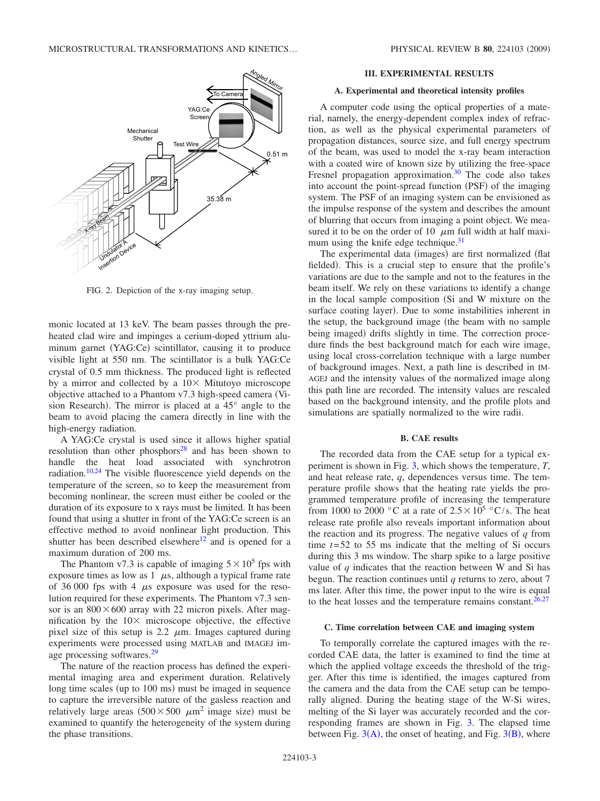<span id="page-4-0"></span>

FIG. 2. Depiction of the x-ray imaging setup.

monic located at 13 keV. The beam passes through the preheated clad wire and impinges a cerium-doped yttrium aluminum garnet (YAG:Ce) scintillator, causing it to produce visible light at 550 nm. The scintillator is a bulk YAG:Ce crystal of 0.5 mm thickness. The produced light is reflected by a mirror and collected by a  $10\times$  Mitutoyo microscope objective attached to a Phantom v7.3 high-speed camera Vision Research). The mirror is placed at a  $45^{\circ}$  angle to the beam to avoid placing the camera directly in line with the high-energy radiation.

A YAG:Ce crystal is used since it allows higher spatial resolution than other phosphors $28$  and has been shown to handle the heat load associated with synchrotron radiation[.10](#page-8-3)[,24](#page-8-13) The visible fluorescence yield depends on the temperature of the screen, so to keep the measurement from becoming nonlinear, the screen must either be cooled or the duration of its exposure to x rays must be limited. It has been found that using a shutter in front of the YAG:Ce screen is an effective method to avoid nonlinear light production. This shutter has been described elsewhere<sup>12</sup> and is opened for a maximum duration of 200 ms.

The Phantom v7.3 is capable of imaging  $5 \times 10^5$  fps with exposure times as low as  $1 \mu s$ , although a typical frame rate of 36 000 fps with 4  $\mu$ s exposure was used for the resolution required for these experiments. The Phantom v7.3 sensor is an  $800 \times 600$  array with 22 micron pixels. After magnification by the  $10\times$  microscope objective, the effective pixel size of this setup is 2.2  $\mu$ m. Images captured during experiments were processed using MATLAB and IMAGEJ image processing softwares[.29](#page-9-3)

The nature of the reaction process has defined the experimental imaging area and experiment duration. Relatively long time scales (up to 100 ms) must be imaged in sequence to capture the irreversible nature of the gasless reaction and relatively large areas  $(500 \times 500 \mu m^2)$  image size) must be examined to quantify the heterogeneity of the system during the phase transitions.

#### **III. EXPERIMENTAL RESULTS**

#### **A. Experimental and theoretical intensity profiles**

A computer code using the optical properties of a material, namely, the energy-dependent complex index of refraction, as well as the physical experimental parameters of propagation distances, source size, and full energy spectrum of the beam, was used to model the x-ray beam interaction with a coated wire of known size by utilizing the free-space Fresnel propagation approximation. $30$  The code also takes into account the point-spread function (PSF) of the imaging system. The PSF of an imaging system can be envisioned as the impulse response of the system and describes the amount of blurring that occurs from imaging a point object. We measured it to be on the order of 10  $\mu$ m full width at half maximum using the knife edge technique.<sup>31</sup>

The experimental data (images) are first normalized (flat fielded). This is a crucial step to ensure that the profile's variations are due to the sample and not to the features in the beam itself. We rely on these variations to identify a change in the local sample composition (Si and W mixture on the surface coating layer). Due to some instabilities inherent in the setup, the background image (the beam with no sample being imaged) drifts slightly in time. The correction procedure finds the best background match for each wire image, using local cross-correlation technique with a large number of background images. Next, a path line is described in IM-AGEJ and the intensity values of the normalized image along this path line are recorded. The intensity values are rescaled based on the background intensity, and the profile plots and simulations are spatially normalized to the wire radii.

#### **B. CAE results**

The recorded data from the CAE setup for a typical experiment is shown in Fig. [3,](#page-5-0) which shows the temperature, *T*, and heat release rate, *q*, dependences versus time. The temperature profile shows that the heating rate yields the programmed temperature profile of increasing the temperature from 1000 to 2000 °C at a rate of  $2.5 \times 10^5$  °C/s. The heat release rate profile also reveals important information about the reaction and its progress. The negative values of *q* from time *t*= 52 to 55 ms indicate that the melting of Si occurs during this 3 ms window. The sharp spike to a large positive value of  $q$  indicates that the reaction between W and Si has begun. The reaction continues until *q* returns to zero, about 7 ms later. After this time, the power input to the wire is equal to the heat losses and the temperature remains constant.  $26,27$  $26,27$ 

#### **C. Time correlation between CAE and imaging system**

To temporally correlate the captured images with the recorded CAE data, the latter is examined to find the time at which the applied voltage exceeds the threshold of the trigger. After this time is identified, the images captured from the camera and the data from the CAE setup can be temporally aligned. During the heating stage of the W-Si wires, melting of the Si layer was accurately recorded and the corresponding frames are shown in Fig. [3.](#page-5-0) The elapsed time between Fig.  $3(A)$  $3(A)$  $3(A)$ , the onset of heating, and Fig.  $3(B)$  $3(B)$  $3(B)$ , where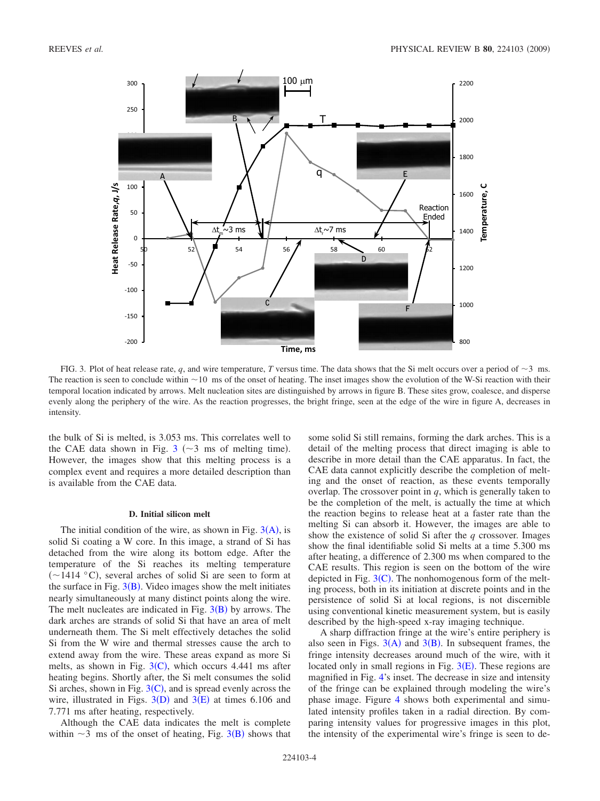<span id="page-5-0"></span>

FIG. 3. Plot of heat release rate, q, and wire temperature, T versus time. The data shows that the Si melt occurs over a period of  $\sim$ 3 ms. The reaction is seen to conclude within  $\sim$ 10 ms of the onset of heating. The inset images show the evolution of the W-Si reaction with their temporal location indicated by arrows. Melt nucleation sites are distinguished by arrows in figure B. These sites grow, coalesce, and disperse evenly along the periphery of the wire. As the reaction progresses, the bright fringe, seen at the edge of the wire in figure A, decreases in intensity.

the bulk of Si is melted, is 3.053 ms. This correlates well to the CAE data shown in Fig.  $3$  ( $\sim$ 3 ms of melting time). However, the images show that this melting process is a complex event and requires a more detailed description than is available from the CAE data.

#### **D. Initial silicon melt**

The initial condition of the wire, as shown in Fig.  $3(A)$  $3(A)$  $3(A)$ , is solid Si coating a W core. In this image, a strand of Si has detached from the wire along its bottom edge. After the temperature of the Si reaches its melting temperature  $(\sim 1414 \degree C)$ , several arches of solid Si are seen to form at the surface in Fig.  $3(B)$  $3(B)$  $3(B)$ . Video images show the melt initiates nearly simultaneously at many distinct points along the wire. The melt nucleates are indicated in Fig.  $3(B)$  $3(B)$  $3(B)$  by arrows. The dark arches are strands of solid Si that have an area of melt underneath them. The Si melt effectively detaches the solid Si from the W wire and thermal stresses cause the arch to extend away from the wire. These areas expand as more Si melts, as shown in Fig.  $3(C)$  $3(C)$  $3(C)$ , which occurs 4.441 ms after heating begins. Shortly after, the Si melt consumes the solid Si arches, shown in Fig.  $3(C)$  $3(C)$  $3(C)$ , and is spread evenly across the wire, illustrated in Figs.  $3(D)$  $3(D)$  $3(D)$  and  $3(E)$  $3(E)$  $3(E)$  at times 6.106 and 7.771 ms after heating, respectively.

Although the CAE data indicates the melt is complete within  $\sim$ 3 ms of the onset of heating, Fig. 3([B](#page-5-0)) shows that

some solid Si still remains, forming the dark arches. This is a detail of the melting process that direct imaging is able to describe in more detail than the CAE apparatus. In fact, the CAE data cannot explicitly describe the completion of melting and the onset of reaction, as these events temporally overlap. The crossover point in *q*, which is generally taken to be the completion of the melt, is actually the time at which the reaction begins to release heat at a faster rate than the melting Si can absorb it. However, the images are able to show the existence of solid Si after the *q* crossover. Images show the final identifiable solid Si melts at a time 5.300 ms after heating, a difference of 2.300 ms when compared to the CAE results. This region is seen on the bottom of the wire depicted in Fig.  $3(C)$  $3(C)$  $3(C)$ . The nonhomogenous form of the melting process, both in its initiation at discrete points and in the persistence of solid Si at local regions, is not discernible using conventional kinetic measurement system, but is easily described by the high-speed x-ray imaging technique.

A sharp diffraction fringe at the wire's entire periphery is also seen in Figs.  $3(A)$  $3(A)$  $3(A)$  and  $3(B)$  $3(B)$  $3(B)$ . In subsequent frames, the fringe intensity decreases around much of the wire, with it located only in small regions in Fig.  $3(E)$  $3(E)$  $3(E)$ . These regions are magnified in Fig. [4'](#page-6-0)s inset. The decrease in size and intensity of the fringe can be explained through modeling the wire's phase image. Figure [4](#page-6-0) shows both experimental and simulated intensity profiles taken in a radial direction. By comparing intensity values for progressive images in this plot, the intensity of the experimental wire's fringe is seen to de-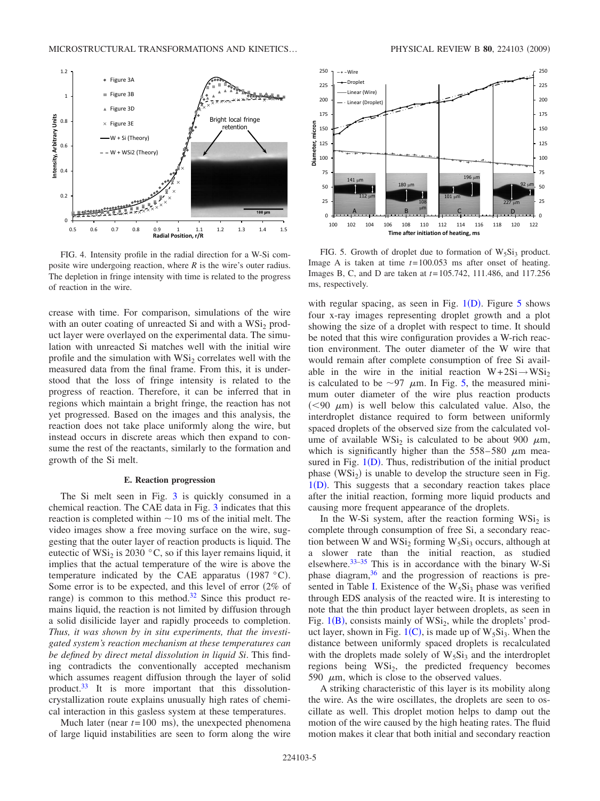<span id="page-6-0"></span>

FIG. 4. Intensity profile in the radial direction for a W-Si composite wire undergoing reaction, where *R* is the wire's outer radius. The depletion in fringe intensity with time is related to the progress of reaction in the wire.

crease with time. For comparison, simulations of the wire with an outer coating of unreacted Si and with a  $WSi<sub>2</sub>$  product layer were overlayed on the experimental data. The simulation with unreacted Si matches well with the initial wire profile and the simulation with  $WSi<sub>2</sub>$  correlates well with the measured data from the final frame. From this, it is understood that the loss of fringe intensity is related to the progress of reaction. Therefore, it can be inferred that in regions which maintain a bright fringe, the reaction has not yet progressed. Based on the images and this analysis, the reaction does not take place uniformly along the wire, but instead occurs in discrete areas which then expand to consume the rest of the reactants, similarly to the formation and growth of the Si melt.

#### **E. Reaction progression**

The Si melt seen in Fig. [3](#page-5-0) is quickly consumed in a chemical reaction. The CAE data in Fig. [3](#page-5-0) indicates that this reaction is completed within  $\sim$  10 ms of the initial melt. The video images show a free moving surface on the wire, suggesting that the outer layer of reaction products is liquid. The eutectic of WSi<sub>2</sub> is 2030 °C, so if this layer remains liquid, it implies that the actual temperature of the wire is above the temperature indicated by the CAE apparatus  $(1987 \degree C)$ . Some error is to be expected, and this level of error  $(2\%$  of range) is common to this method.<sup>32</sup> Since this product remains liquid, the reaction is not limited by diffusion through a solid disilicide layer and rapidly proceeds to completion. *Thus, it was shown by in situ experiments, that the investigated system's reaction mechanism at these temperatures can be defined by direct metal dissolution in liquid Si*. This finding contradicts the conventionally accepted mechanism which assumes reagent diffusion through the layer of solid product[.33](#page-9-7) It is more important that this dissolutioncrystallization route explains unusually high rates of chemical interaction in this gasless system at these temperatures.

Much later (near  $t = 100$  ms), the unexpected phenomena of large liquid instabilities are seen to form along the wire

<span id="page-6-1"></span>

FIG. 5. Growth of droplet due to formation of  $W_5Si_3$  product. Image A is taken at time *t*= 100.053 ms after onset of heating. Images B, C, and D are taken at *t*= 105.742, 111.486, and 117.256 ms, respectively.

with regular spacing, as seen in Fig.  $1(D)$  $1(D)$  $1(D)$ . Figure [5](#page-6-1) shows four x-ray images representing droplet growth and a plot showing the size of a droplet with respect to time. It should be noted that this wire configuration provides a W-rich reaction environment. The outer diameter of the W wire that would remain after complete consumption of free Si available in the wire in the initial reaction  $W+2Si \rightarrow WSi<sub>2</sub>$ is calculated to be  $\sim 97$   $\mu$ m. In Fig. [5,](#page-6-1) the measured minimum outer diameter of the wire plus reaction products  $(< 90 \mu m$ ) is well below this calculated value. Also, the interdroplet distance required to form between uniformly spaced droplets of the observed size from the calculated volume of available WSi<sub>2</sub> is calculated to be about 900  $\mu$ m, which is significantly higher than the  $558-580 \mu m$  measured in Fig.  $1(D)$  $1(D)$  $1(D)$ . Thus, redistribution of the initial product phase  $(WSi<sub>2</sub>)$  is unable to develop the structure seen in Fig.  $1(D)$  $1(D)$  $1(D)$ . This suggests that a secondary reaction takes place after the initial reaction, forming more liquid products and causing more frequent appearance of the droplets.

In the W-Si system, after the reaction forming  $WSi<sub>2</sub>$  is complete through consumption of free Si, a secondary reaction between W and WSi<sub>2</sub> forming  $W_5Si_3$  occurs, although at a slower rate than the initial reaction, as studied elsewhere[.33](#page-9-7)[–35](#page-9-8) This is in accordance with the binary W-Si phase diagram, $36$  and the progression of reactions is pre-sented in Table [I.](#page-7-0) Existence of the  $W_5Si_3$  phase was verified through EDS analysis of the reacted wire. It is interesting to note that the thin product layer between droplets, as seen in Fig.  $1(B)$  $1(B)$  $1(B)$ , consists mainly of  $WSi<sub>2</sub>$ , while the droplets' product layer, shown in Fig.  $1(C)$  $1(C)$  $1(C)$ , is made up of  $W_5Si_3$ . When the distance between uniformly spaced droplets is recalculated with the droplets made solely of  $W_5Si_3$  and the interdroplet regions being  $WSi_2$ , the predicted frequency becomes 590  $\mu$ m, which is close to the observed values.

A striking characteristic of this layer is its mobility along the wire. As the wire oscillates, the droplets are seen to oscillate as well. This droplet motion helps to damp out the motion of the wire caused by the high heating rates. The fluid motion makes it clear that both initial and secondary reaction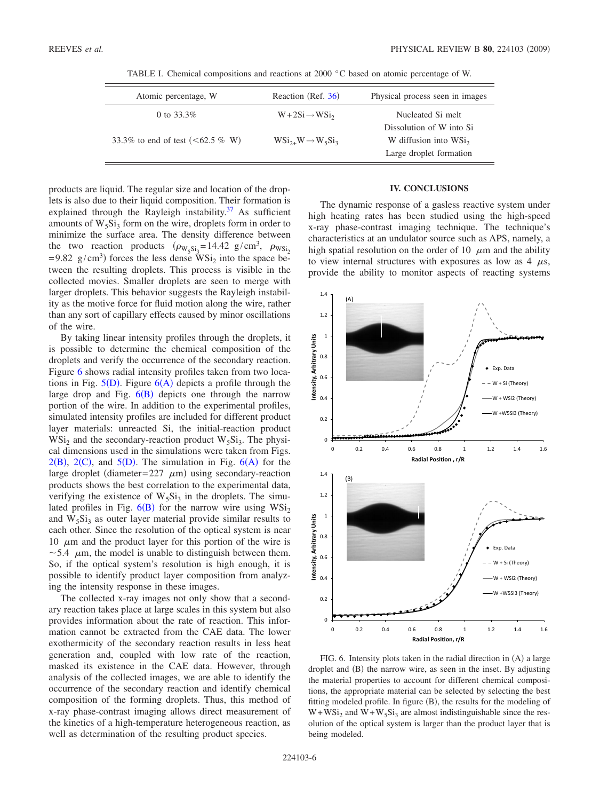<span id="page-7-0"></span>

| Atomic percentage, W                    | Reaction (Ref. 36)            | Physical process seen in images   |
|-----------------------------------------|-------------------------------|-----------------------------------|
| 0 to $33.3\%$                           | $W+2Si \rightarrow WSi_2$     | Nucleated Si melt                 |
|                                         |                               | Dissolution of W into Si          |
| 33.3% to end of test ( $\leq 62.5$ % W) | $WSi_2+W \rightarrow W_5Si_3$ | W diffusion into WSi <sub>2</sub> |
|                                         |                               | Large droplet formation           |

TABLE I. Chemical compositions and reactions at 2000 °C based on atomic percentage of W.

products are liquid. The regular size and location of the droplets is also due to their liquid composition. Their formation is explained through the Rayleigh instability. $37$  As sufficient amounts of  $W_5Si_3$  form on the wire, droplets form in order to minimize the surface area. The density difference between the two reaction products  $(\rho_{W_5S_{13}}=14.42 \text{ g/cm}^3, \rho_{WS_{12}})$  $= 9.82$  g/cm<sup>3</sup>) forces the less dense WSi<sub>2</sub> into the space between the resulting droplets. This process is visible in the collected movies. Smaller droplets are seen to merge with larger droplets. This behavior suggests the Rayleigh instability as the motive force for fluid motion along the wire, rather than any sort of capillary effects caused by minor oscillations of the wire.

By taking linear intensity profiles through the droplets, it is possible to determine the chemical composition of the droplets and verify the occurrence of the secondary reaction. Figure [6](#page-7-1) shows radial intensity profiles taken from two locations in Fig.  $5(D)$  $5(D)$  $5(D)$ . Figure  $6(A)$  $6(A)$  $6(A)$  depicts a profile through the large drop and Fig.  $6(B)$  $6(B)$  $6(B)$  depicts one through the narrow portion of the wire. In addition to the experimental profiles, simulated intensity profiles are included for different product layer materials: unreacted Si, the initial-reaction product  $WSi<sub>2</sub>$  and the secondary-reaction product  $W<sub>5</sub>Si<sub>3</sub>$ . The physical dimensions used in the simulations were taken from Figs.  $2(B)$  $2(B)$  $2(B)$ ,  $2(C)$  $2(C)$  $2(C)$ , and  $5(D)$  $5(D)$  $5(D)$ . The simulation in Fig.  $6(A)$  $6(A)$  $6(A)$  for the large droplet (diameter= $227 \mu m$ ) using secondary-reaction products shows the best correlation to the experimental data, verifying the existence of  $W_5Si_3$  in the droplets. The simulated profiles in Fig.  $6(B)$  $6(B)$  $6(B)$  for the narrow wire using  $WSi<sub>2</sub>$ and  $W_5Si_3$  as outer layer material provide similar results to each other. Since the resolution of the optical system is near 10  $\mu$ m and the product layer for this portion of the wire is  $\sim$  5.4  $\mu$ m, the model is unable to distinguish between them. So, if the optical system's resolution is high enough, it is possible to identify product layer composition from analyzing the intensity response in these images.

The collected x-ray images not only show that a secondary reaction takes place at large scales in this system but also provides information about the rate of reaction. This information cannot be extracted from the CAE data. The lower exothermicity of the secondary reaction results in less heat generation and, coupled with low rate of the reaction, masked its existence in the CAE data. However, through analysis of the collected images, we are able to identify the occurrence of the secondary reaction and identify chemical composition of the forming droplets. Thus, this method of x-ray phase-contrast imaging allows direct measurement of the kinetics of a high-temperature heterogeneous reaction, as well as determination of the resulting product species.

#### **IV. CONCLUSIONS**

The dynamic response of a gasless reactive system under high heating rates has been studied using the high-speed x-ray phase-contrast imaging technique. The technique's characteristics at an undulator source such as APS, namely, a high spatial resolution on the order of 10  $\mu$ m and the ability to view internal structures with exposures as low as  $4 \mu s$ , provide the ability to monitor aspects of reacting systems

<span id="page-7-1"></span>

FIG. 6. Intensity plots taken in the radial direction in (A) a large droplet and (B) the narrow wire, as seen in the inset. By adjusting the material properties to account for different chemical compositions, the appropriate material can be selected by selecting the best fitting modeled profile. In figure (B), the results for the modeling of  $W + WSi<sub>2</sub>$  and  $W + W<sub>5</sub>Si<sub>3</sub>$  are almost indistinguishable since the resolution of the optical system is larger than the product layer that is being modeled.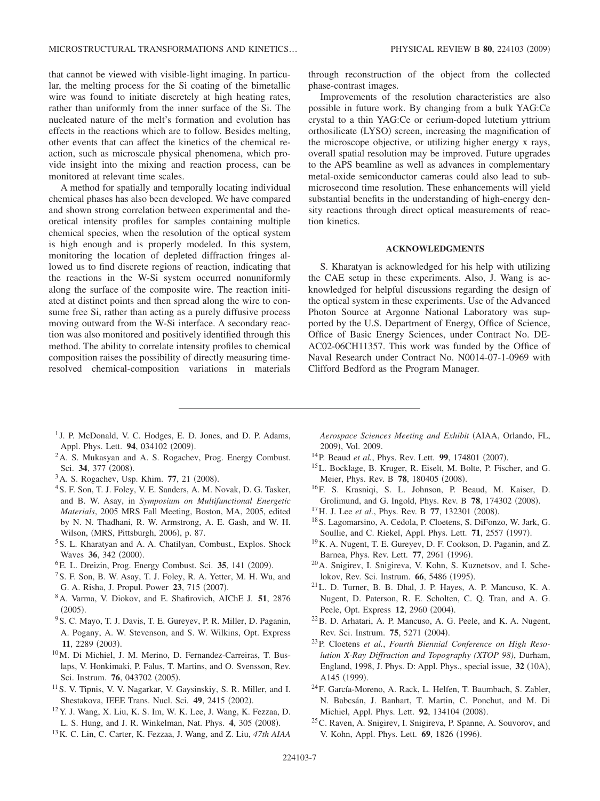that cannot be viewed with visible-light imaging. In particular, the melting process for the Si coating of the bimetallic wire was found to initiate discretely at high heating rates, rather than uniformly from the inner surface of the Si. The nucleated nature of the melt's formation and evolution has effects in the reactions which are to follow. Besides melting, other events that can affect the kinetics of the chemical reaction, such as microscale physical phenomena, which provide insight into the mixing and reaction process, can be monitored at relevant time scales.

A method for spatially and temporally locating individual chemical phases has also been developed. We have compared and shown strong correlation between experimental and theoretical intensity profiles for samples containing multiple chemical species, when the resolution of the optical system is high enough and is properly modeled. In this system, monitoring the location of depleted diffraction fringes allowed us to find discrete regions of reaction, indicating that the reactions in the W-Si system occurred nonuniformly along the surface of the composite wire. The reaction initiated at distinct points and then spread along the wire to consume free Si, rather than acting as a purely diffusive process moving outward from the W-Si interface. A secondary reaction was also monitored and positively identified through this method. The ability to correlate intensity profiles to chemical composition raises the possibility of directly measuring timeresolved chemical-composition variations in materials through reconstruction of the object from the collected phase-contrast images.

Improvements of the resolution characteristics are also possible in future work. By changing from a bulk YAG:Ce crystal to a thin YAG:Ce or cerium-doped lutetium yttrium orthosilicate (LYSO) screen, increasing the magnification of the microscope objective, or utilizing higher energy x rays, overall spatial resolution may be improved. Future upgrades to the APS beamline as well as advances in complementary metal-oxide semiconductor cameras could also lead to submicrosecond time resolution. These enhancements will yield substantial benefits in the understanding of high-energy density reactions through direct optical measurements of reaction kinetics.

#### **ACKNOWLEDGMENTS**

S. Kharatyan is acknowledged for his help with utilizing the CAE setup in these experiments. Also, J. Wang is acknowledged for helpful discussions regarding the design of the optical system in these experiments. Use of the Advanced Photon Source at Argonne National Laboratory was supported by the U.S. Department of Energy, Office of Science, Office of Basic Energy Sciences, under Contract No. DE-AC02-06CH11357. This work was funded by the Office of Naval Research under Contract No. N0014-07-1-0969 with Clifford Bedford as the Program Manager.

- <span id="page-8-0"></span><sup>1</sup> J. P. McDonald, V. C. Hodges, E. D. Jones, and D. P. Adams, Appl. Phys. Lett. **94**, 034102 (2009).
- <sup>2</sup>A. S. Mukasyan and A. S. Rogachev, Prog. Energy Combust. Sci. **34**, 377 (2008).
- <sup>3</sup> A. S. Rogachev, Usp. Khim. **77**, 21 (2008).
- 4S. F. Son, T. J. Foley, V. E. Sanders, A. M. Novak, D. G. Tasker, and B. W. Asay, in *Symposium on Multifunctional Energetic Materials*, 2005 MRS Fall Meeting, Boston, MA, 2005, edited by N. N. Thadhani, R. W. Armstrong, A. E. Gash, and W. H. Wilson, (MRS, Pittsburgh, 2006), p. 87.
- 5S. L. Kharatyan and A. A. Chatilyan, Combust., Explos. Shock Waves **36**, 342 (2000).
- <sup>6</sup>E. L. Dreizin, Prog. Energy Combust. Sci. 35, 141 (2009).
- <sup>7</sup> S. F. Son, B. W. Asay, T. J. Foley, R. A. Yetter, M. H. Wu, and G. A. Risha, J. Propul. Power 23, 715 (2007).
- <span id="page-8-1"></span>8A. Varma, V. Diokov, and E. Shafirovich, AIChE J. **51**, 2876  $(2005).$
- <span id="page-8-2"></span>9S. C. Mayo, T. J. Davis, T. E. Gureyev, P. R. Miller, D. Paganin, A. Pogany, A. W. Stevenson, and S. W. Wilkins, Opt. Express **11**, 2289 (2003).
- <span id="page-8-3"></span>10M. Di Michiel, J. M. Merino, D. Fernandez-Carreiras, T. Buslaps, V. Honkimaki, P. Falus, T. Martins, and O. Svensson, Rev. Sci. Instrum. **76**, 043702 (2005).
- <span id="page-8-4"></span>11S. V. Tipnis, V. V. Nagarkar, V. Gaysinskiy, S. R. Miller, and I. Shestakova, IEEE Trans. Nucl. Sci. 49, 2415 (2002).
- <span id="page-8-5"></span>12Y. J. Wang, X. Liu, K. S. Im, W. K. Lee, J. Wang, K. Fezzaa, D. L. S. Hung, and J. R. Winkelman, Nat. Phys. 4, 305 (2008).
- <span id="page-8-6"></span>13K. C. Lin, C. Carter, K. Fezzaa, J. Wang, and Z. Liu, *47th AIAA*

*Aerospace Sciences Meeting and Exhibit* AIAA, Orlando, FL, 2009), Vol. 2009.

- <span id="page-8-7"></span><sup>14</sup> P. Beaud *et al.*, Phys. Rev. Lett. **99**, 174801 (2007).
- 15L. Bocklage, B. Kruger, R. Eiselt, M. Bolte, P. Fischer, and G. Meier, Phys. Rev. B **78**, 180405 (2008).
- 16F. S. Krasniqi, S. L. Johnson, P. Beaud, M. Kaiser, D. Grolimund, and G. Ingold, Phys. Rev. B **78**, 174302 (2008).
- <span id="page-8-8"></span><sup>17</sup>H. J. Lee *et al.*, Phys. Rev. B **77**, 132301 (2008).
- <span id="page-8-9"></span>18S. Lagomarsino, A. Cedola, P. Cloetens, S. DiFonzo, W. Jark, G. Soullie, and C. Riekel, Appl. Phys. Lett. **71**, 2557 (1997).
- 19K. A. Nugent, T. E. Gureyev, D. F. Cookson, D. Paganin, and Z. Barnea, Phys. Rev. Lett. **77**, 2961 (1996).
- 20A. Snigirev, I. Snigireva, V. Kohn, S. Kuznetsov, and I. Schelokov, Rev. Sci. Instrum. **66**, 5486 (1995).
- <span id="page-8-10"></span>21L. D. Turner, B. B. Dhal, J. P. Hayes, A. P. Mancuso, K. A. Nugent, D. Paterson, R. E. Scholten, C. Q. Tran, and A. G. Peele, Opt. Express **12**, 2960 (2004).
- <span id="page-8-11"></span>22B. D. Arhatari, A. P. Mancuso, A. G. Peele, and K. A. Nugent, Rev. Sci. Instrum. **75**, 5271 (2004).
- 23P. Cloetens *et al.*, *Fourth Biennial Conference on High Resolution X-Ray Diffraction and Topography (XTOP 98)*, Durham, England, 1998, J. Phys. D: Appl. Phys., special issue, 32 (10A), A145 (1999).
- <span id="page-8-13"></span>24F. García-Moreno, A. Rack, L. Helfen, T. Baumbach, S. Zabler, N. Babcsán, J. Banhart, T. Martin, C. Ponchut, and M. Di Michiel, Appl. Phys. Lett. 92, 134104 (2008).
- <span id="page-8-12"></span>25C. Raven, A. Snigirev, I. Snigireva, P. Spanne, A. Souvorov, and V. Kohn, Appl. Phys. Lett. **69**, 1826 (1996).